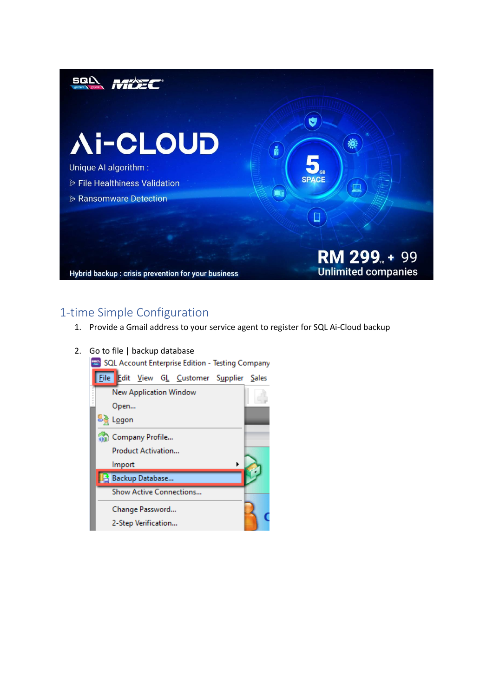

## 1-time Simple Configuration

- 1. Provide a Gmail address to your service agent to register for SQL Ai-Cloud backup
- 2. Go to file | backup database

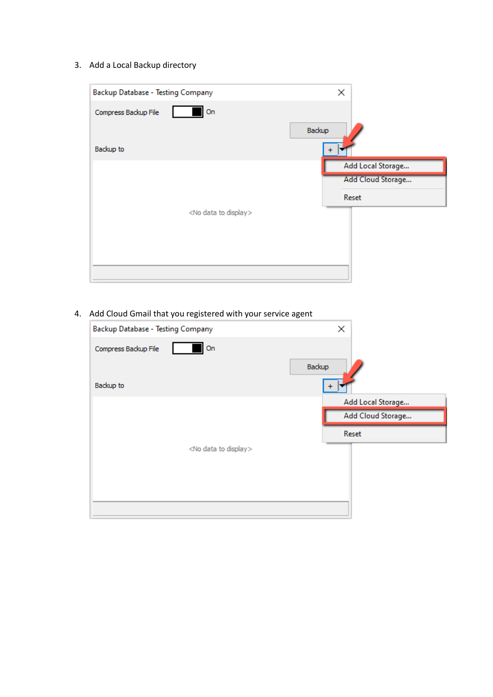3. Add a Local Backup directory

| Backup Database - Testing Company  | ×                 |
|------------------------------------|-------------------|
| On<br>Compress Backup File         |                   |
|                                    | Backup            |
| Backup to                          | $\ddot{}$         |
|                                    | Add Local Storage |
|                                    | Add Cloud Storage |
|                                    | Reset             |
| <no data="" display="" to=""></no> |                   |
|                                    |                   |
|                                    |                   |
|                                    |                   |
|                                    |                   |

4. Add Cloud Gmail that you registered with your service agent

| ×                 |
|-------------------|
| Backup            |
|                   |
| Add Local Storage |
| Add Cloud Storage |
| Reset             |
|                   |
|                   |
|                   |
|                   |
|                   |
|                   |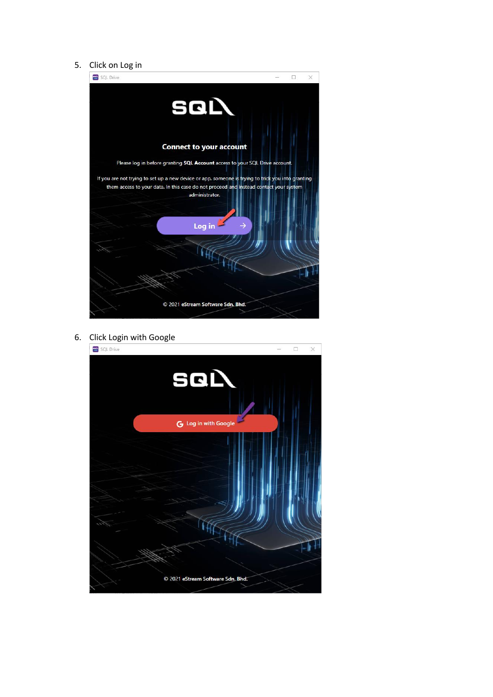#### 5. Click on Log in



6. Click Login with Google

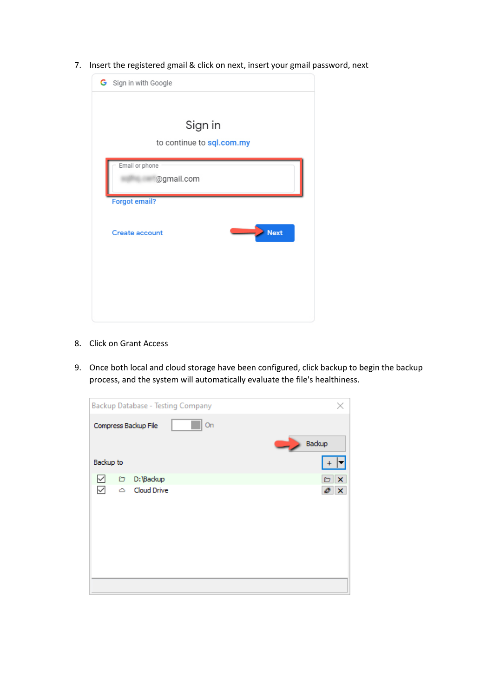7. Insert the registered gmail & click on next, insert your gmail password, next



- 8. Click on Grant Access
- 9. Once both local and cloud storage have been configured, click backup to begin the backup process, and the system will automatically evaluate the file's healthiness.

|           |   | Backup Database - Testing Company |        | ×               |
|-----------|---|-----------------------------------|--------|-----------------|
|           |   | On<br>Compress Backup File        | Backup |                 |
| Backup to |   |                                   |        | $+$             |
| ✓         | o | D:\Backup                         |        | $\Box$ $\times$ |
| ⊵         | ٥ | Cloud Drive                       |        | $\circ x$       |
|           |   |                                   |        |                 |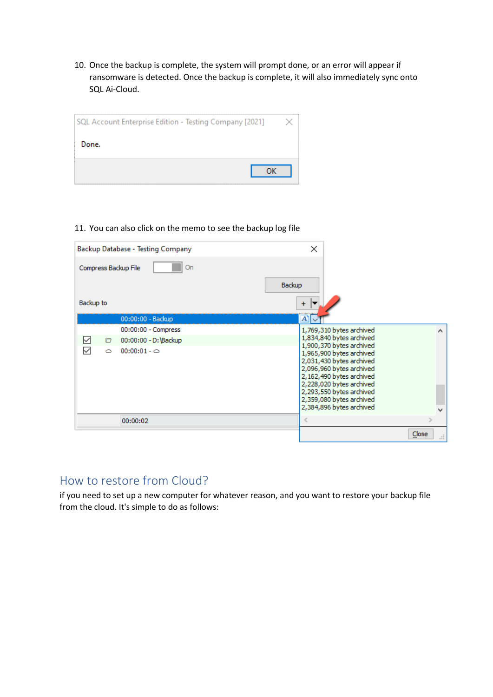10. Once the backup is complete, the system will prompt done, or an error will appear if ransomware is detected. Once the backup is complete, it will also immediately sync onto SQL Ai-Cloud.

| SQL Account Enterprise Edition - Testing Company [2021] |  |
|---------------------------------------------------------|--|
| Done.                                                   |  |
| ок                                                      |  |

11. You can also click on the memo to see the backup log file

| Backup Database - Testing Company                   | ×                                                                                                                                                                                                |
|-----------------------------------------------------|--------------------------------------------------------------------------------------------------------------------------------------------------------------------------------------------------|
| Compress Backup File<br>On                          |                                                                                                                                                                                                  |
|                                                     | Backup                                                                                                                                                                                           |
| Backup to                                           | $+$                                                                                                                                                                                              |
| 00:00:00 - Backup                                   | $A$ ]                                                                                                                                                                                            |
| 00:00:00 - Compress                                 | 1,769,310 bytes archived<br>۸                                                                                                                                                                    |
| ✓<br>00:00:00 - D: Backup<br>n                      | 1,834,840 bytes archived                                                                                                                                                                         |
| $\checkmark$<br>$00:00:01 - \circlearrowright$<br>٥ | 1,900,370 bytes archived<br>1,965,900 bytes archived<br>2,031,430 bytes archived<br>2,096,960 bytes archived<br>2,162,490 bytes archived<br>2,228,020 bytes archived<br>2,293,550 bytes archived |
|                                                     | 2,359,080 bytes archived<br>2,384,896 bytes archived                                                                                                                                             |
| 00:00:02                                            | $\,<$                                                                                                                                                                                            |
|                                                     | Close<br>пÎ.                                                                                                                                                                                     |

# How to restore from Cloud?

if you need to set up a new computer for whatever reason, and you want to restore your backup file from the cloud. It's simple to do as follows: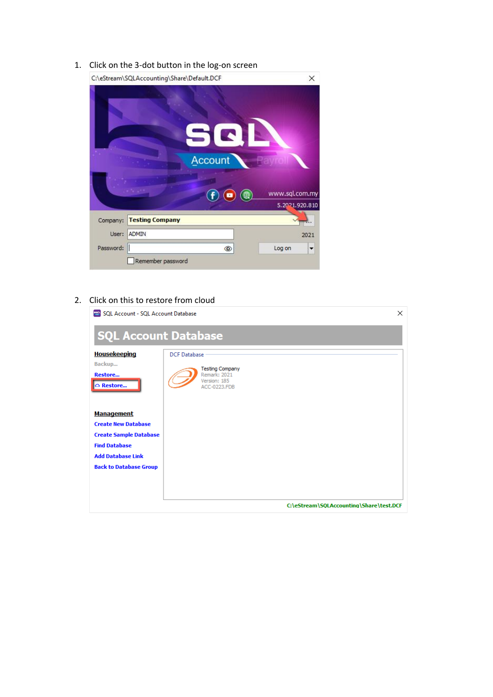1. Click on the 3-dot button in the log-on screen



#### 2. Click on this to restore from cloud

| SQL Account - SQL Account Database    |                                                                               | $\times$ |
|---------------------------------------|-------------------------------------------------------------------------------|----------|
| <b>SQL Account Database</b>           |                                                                               |          |
| <b>Housekeeping</b>                   | <b>DCF Database</b>                                                           |          |
| Backup<br><b>Restore</b><br>△ Restore | <b>Testing Company</b><br>Remark: 2021<br>Version: 185<br><b>ACC-0223,FDB</b> |          |
| <b>Management</b>                     |                                                                               |          |
| <b>Create New Database</b>            |                                                                               |          |
| <b>Create Sample Database</b>         |                                                                               |          |
| <b>Find Database</b>                  |                                                                               |          |
| <b>Add Database Link</b>              |                                                                               |          |
| <b>Back to Database Group</b>         |                                                                               |          |
|                                       |                                                                               |          |
|                                       |                                                                               |          |
|                                       | C:\eStream\SQLAccounting\Share\test.DCF                                       |          |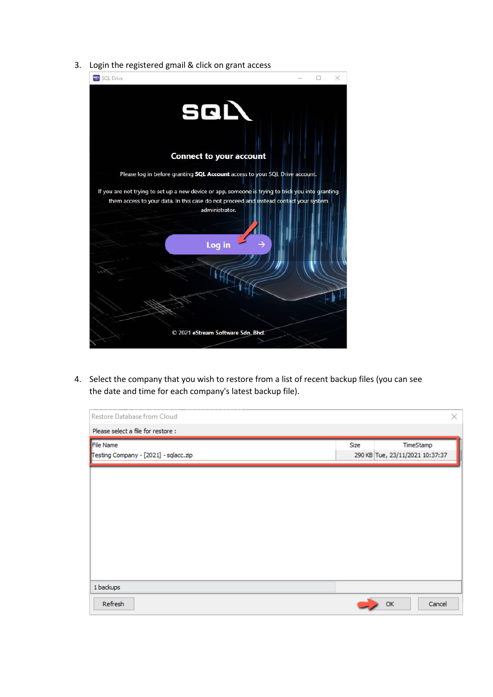3. Login the registered gmail & click on grant access



4. Select the company that you wish to restore from a list of recent backup files (you can see the date and time for each company's latest backup file).

| Restore Database from Cloud                        |      |                                 | ×         |
|----------------------------------------------------|------|---------------------------------|-----------|
| Please select a file for restore:                  |      |                                 |           |
| File Name<br>Testing Company - [2021] - sqlacc.zip | Size | 290 KB Tue, 23/11/2021 10:37:37 | TimeStamp |
|                                                    |      |                                 |           |
|                                                    |      |                                 |           |
|                                                    |      |                                 |           |
|                                                    |      |                                 |           |
| 1 backups                                          |      |                                 |           |
| Refresh                                            |      | OK                              | Cancel    |